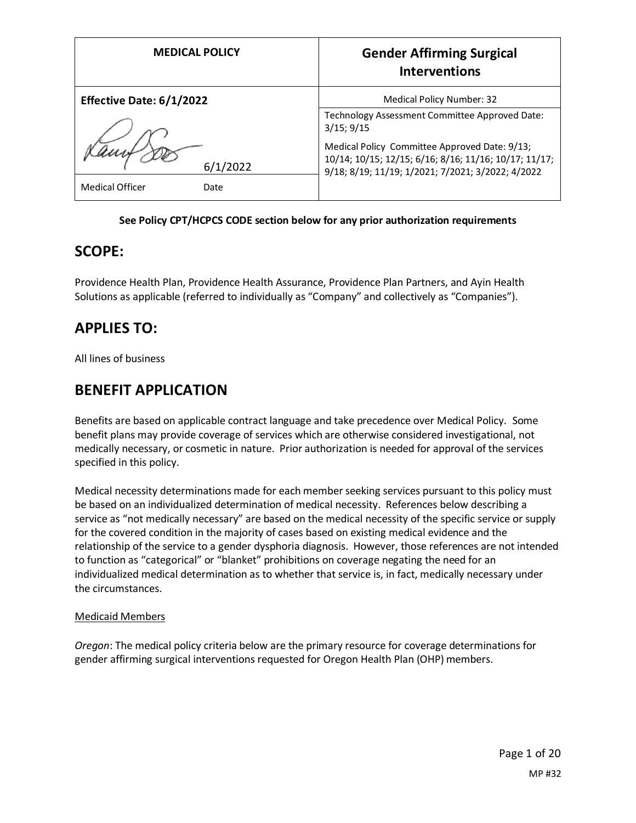| <b>MEDICAL POLICY</b>          | <b>Gender Affirming Surgical</b><br><b>Interventions</b>                                                                                                    |
|--------------------------------|-------------------------------------------------------------------------------------------------------------------------------------------------------------|
| Effective Date: 6/1/2022       | Medical Policy Number: 32                                                                                                                                   |
|                                | Technology Assessment Committee Approved Date:<br>3/15; 9/15                                                                                                |
| 6/1/2022                       | Medical Policy Committee Approved Date: 9/13;<br>10/14; 10/15; 12/15; 6/16; 8/16; 11/16; 10/17; 11/17;<br>9/18; 8/19; 11/19; 1/2021; 7/2021; 3/2022; 4/2022 |
| <b>Medical Officer</b><br>Date |                                                                                                                                                             |

#### **See Policy CPT/HCPCS CODE section below for any prior authorization requirements**

### **SCOPE:**

Providence Health Plan, Providence Health Assurance, Providence Plan Partners, and Ayin Health Solutions as applicable (referred to individually as "Company" and collectively as "Companies").

### **APPLIES TO:**

All lines of business

### **BENEFIT APPLICATION**

Benefits are based on applicable contract language and take precedence over Medical Policy. Some benefit plans may provide coverage of services which are otherwise considered investigational, not medically necessary, or cosmetic in nature. Prior authorization is needed for approval of the services specified in this policy.

Medical necessity determinations made for each member seeking services pursuant to this policy must be based on an individualized determination of medical necessity. References below describing a service as "not medically necessary" are based on the medical necessity of the specific service or supply for the covered condition in the majority of cases based on existing medical evidence and the relationship of the service to a gender dysphoria diagnosis. However, those references are not intended to function as "categorical" or "blanket" prohibitions on coverage negating the need for an individualized medical determination as to whether that service is, in fact, medically necessary under the circumstances.

#### Medicaid Members

*Oregon*: The medical policy criteria below are the primary resource for coverage determinations for gender affirming surgical interventions requested for Oregon Health Plan (OHP) members.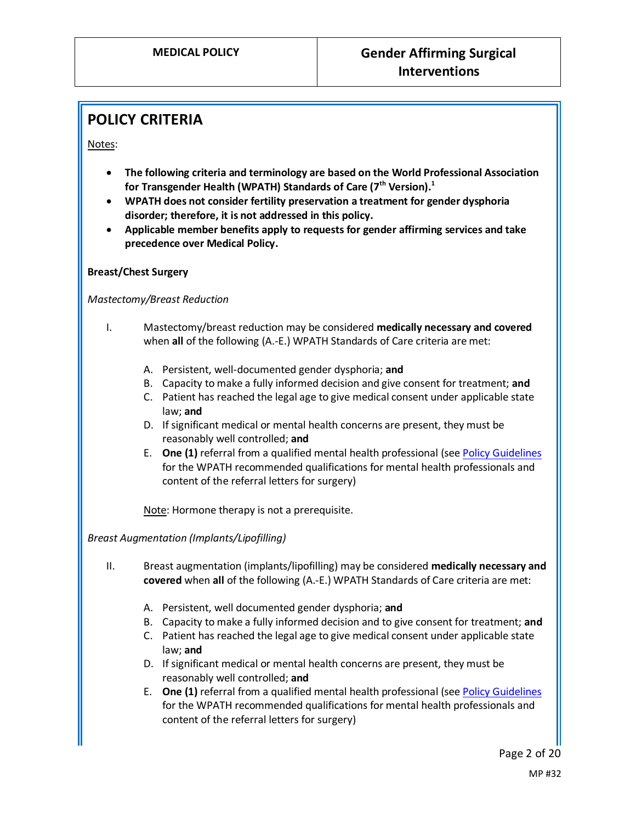## **POLICY CRITERIA**

Notes:

- **The following criteria and terminology are based on the World Professional Association for Transgender Health (WPATH) Standards of Care (7th Version).<sup>1</sup>**
- **WPATH does not consider fertility preservation a treatment for gender dysphoria disorder; therefore, it is not addressed in this policy.**
- **Applicable member benefits apply to requests for gender affirming services and take precedence over Medical Policy.**

#### **Breast/Chest Surgery**

#### *Mastectomy/Breast Reduction*

- I. Mastectomy/breast reduction may be considered **medically necessary and covered**  when **all** of the following (A.-E.) WPATH Standards of Care criteria are met:
	- A. Persistent, well-documented gender dysphoria; **and**
	- B. Capacity to make a fully informed decision and give consent for treatment; **and**
	- C. Patient has reached the legal age to give medical consent under applicable state law; **and**
	- D. If significant medical or mental health concerns are present, they must be reasonably well controlled; **and**
	- E. **One (1)** referral from a qualified mental health professional (se[e Policy Guidelines](#page-3-0) for the WPATH recommended qualifications for mental health professionals and content of the referral letters for surgery)

Note: Hormone therapy is not a prerequisite.

*Breast Augmentation (Implants/Lipofilling)*

- II. Breast augmentation (implants/lipofilling) may be considered **medically necessary and covered** when **all** of the following (A.-E.) WPATH Standards of Care criteria are met:
	- A. Persistent, well documented gender dysphoria; **and**
	- B. Capacity to make a fully informed decision and to give consent for treatment; **and**
	- C. Patient has reached the legal age to give medical consent under applicable state law; **and**
	- D. If significant medical or mental health concerns are present, they must be reasonably well controlled; **and**
	- E. **One (1)** referral from a qualified mental health professional (se[e Policy Guidelines](#page-3-0) for the WPATH recommended qualifications for mental health professionals and content of the referral letters for surgery)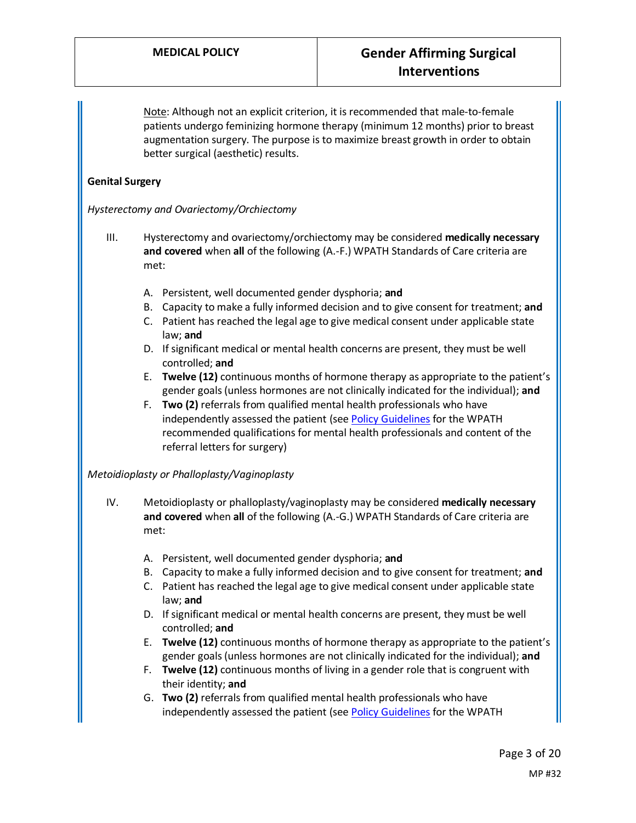Note: Although not an explicit criterion, it is recommended that male-to-female patients undergo feminizing hormone therapy (minimum 12 months) prior to breast augmentation surgery. The purpose is to maximize breast growth in order to obtain better surgical (aesthetic) results.

#### **Genital Surgery**

#### *Hysterectomy and Ovariectomy/Orchiectomy*

- III. Hysterectomy and ovariectomy/orchiectomy may be considered **medically necessary and covered** when **all** of the following (A.-F.) WPATH Standards of Care criteria are met:
	- A. Persistent, well documented gender dysphoria; **and**
	- B. Capacity to make a fully informed decision and to give consent for treatment; **and**
	- C. Patient has reached the legal age to give medical consent under applicable state law; **and**
	- D. If significant medical or mental health concerns are present, they must be well controlled; **and**
	- E. **Twelve (12)** continuous months of hormone therapy as appropriate to the patient's gender goals (unless hormones are not clinically indicated for the individual); **and**
	- F. **Two (2)** referrals from qualified mental health professionals who have independently assessed the patient (see [Policy Guidelines](#page-3-0) for the WPATH recommended qualifications for mental health professionals and content of the referral letters for surgery)

*Metoidioplasty or Phalloplasty/Vaginoplasty*

- IV. Metoidioplasty or phalloplasty/vaginoplasty may be considered **medically necessary and covered** when **all** of the following (A.-G.) WPATH Standards of Care criteria are met:
	- A. Persistent, well documented gender dysphoria; **and**
	- B. Capacity to make a fully informed decision and to give consent for treatment; **and**
	- C. Patient has reached the legal age to give medical consent under applicable state law; **and**
	- D. If significant medical or mental health concerns are present, they must be well controlled; **and**
	- E. **Twelve (12)** continuous months of hormone therapy as appropriate to the patient's gender goals (unless hormones are not clinically indicated for the individual); **and**
	- F. **Twelve (12)** continuous months of living in a gender role that is congruent with their identity; **and**
	- G. **Two (2)** referrals from qualified mental health professionals who have independently assessed the patient (see [Policy Guidelines](#page-3-0) for the WPATH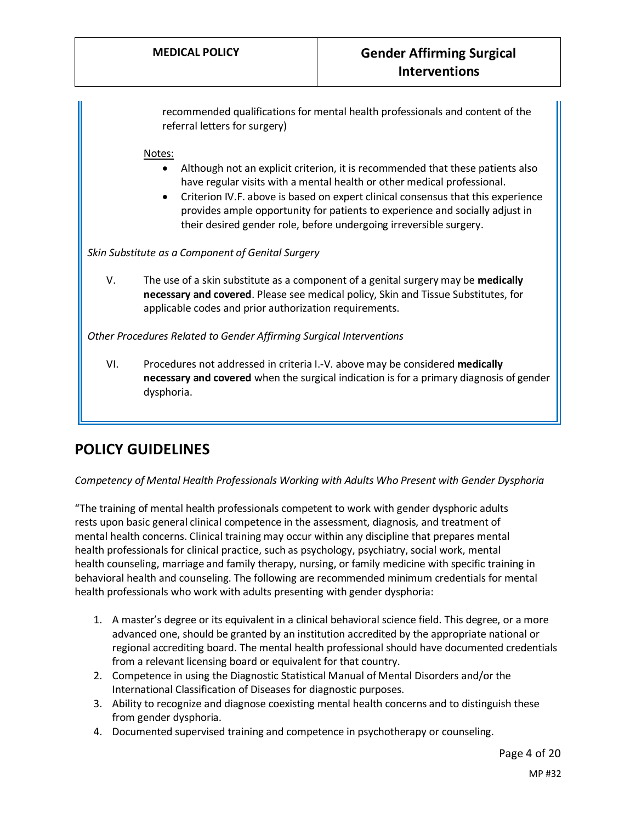recommended qualifications for mental health professionals and content of the referral letters for surgery)

#### Notes:

- Although not an explicit criterion, it is recommended that these patients also have regular visits with a mental health or other medical professional.
- Criterion IV.F. above is based on expert clinical consensus that this experience provides ample opportunity for patients to experience and socially adjust in their desired gender role, before undergoing irreversible surgery.

*Skin Substitute as a Component of Genital Surgery*

V. The use of a skin substitute as a component of a genital surgery may be **medically necessary and covered**. Please see medical policy, Skin and Tissue Substitutes, for applicable codes and prior authorization requirements.

*Other Procedures Related to Gender Affirming Surgical Interventions* 

VI. Procedures not addressed in criteria I.-V. above may be considered **medically necessary and covered** when the surgical indication is for a primary diagnosis of gender dysphoria.

# <span id="page-3-0"></span>**POLICY GUIDELINES**

*Competency of Mental Health Professionals Working with Adults Who Present with Gender Dysphoria*

"The training of mental health professionals competent to work with gender dysphoric adults rests upon basic general clinical competence in the assessment, diagnosis, and treatment of mental health concerns. Clinical training may occur within any discipline that prepares mental health professionals for clinical practice, such as psychology, psychiatry, social work, mental health counseling, marriage and family therapy, nursing, or family medicine with specific training in behavioral health and counseling. The following are recommended minimum credentials for mental health professionals who work with adults presenting with gender dysphoria:

- 1. A master's degree or its equivalent in a clinical behavioral science field. This degree, or a more advanced one, should be granted by an institution accredited by the appropriate national or regional accrediting board. The mental health professional should have documented credentials from a relevant licensing board or equivalent for that country.
- 2. Competence in using the Diagnostic Statistical Manual of Mental Disorders and/or the International Classification of Diseases for diagnostic purposes.
- 3. Ability to recognize and diagnose coexisting mental health concerns and to distinguish these from gender dysphoria.
- 4. Documented supervised training and competence in psychotherapy or counseling.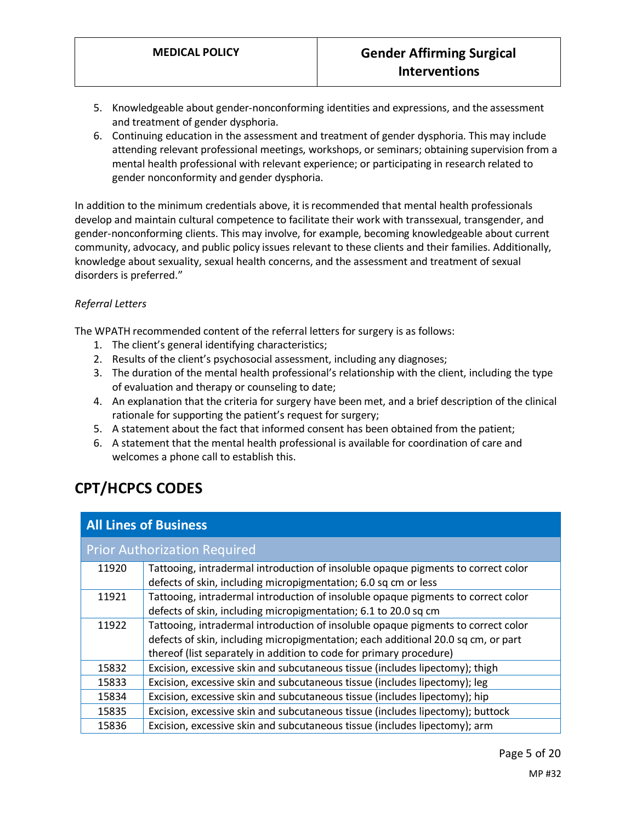- 5. Knowledgeable about gender-nonconforming identities and expressions, and the assessment and treatment of gender dysphoria.
- 6. Continuing education in the assessment and treatment of gender dysphoria. This may include attending relevant professional meetings, workshops, or seminars; obtaining supervision from a mental health professional with relevant experience; or participating in research related to gender nonconformity and gender dysphoria.

In addition to the minimum credentials above, it is recommended that mental health professionals develop and maintain cultural competence to facilitate their work with transsexual, transgender, and gender-nonconforming clients. This may involve, for example, becoming knowledgeable about current community, advocacy, and public policy issues relevant to these clients and their families. Additionally, knowledge about sexuality, sexual health concerns, and the assessment and treatment of sexual disorders is preferred."

### *Referral Letters*

The WPATH recommended content of the referral letters for surgery is as follows:

- 1. The client's general identifying characteristics;
- 2. Results of the client's psychosocial assessment, including any diagnoses;
- 3. The duration of the mental health professional's relationship with the client, including the type of evaluation and therapy or counseling to date;
- 4. An explanation that the criteria for surgery have been met, and a brief description of the clinical rationale for supporting the patient's request for surgery;
- 5. A statement about the fact that informed consent has been obtained from the patient;
- 6. A statement that the mental health professional is available for coordination of care and welcomes a phone call to establish this.

# **CPT/HCPCS CODES**

| <b>All Lines of Business</b>        |                                                                                                                                                                                                                                               |
|-------------------------------------|-----------------------------------------------------------------------------------------------------------------------------------------------------------------------------------------------------------------------------------------------|
| <b>Prior Authorization Required</b> |                                                                                                                                                                                                                                               |
| 11920                               | Tattooing, intradermal introduction of insoluble opaque pigments to correct color<br>defects of skin, including micropigmentation; 6.0 sq cm or less                                                                                          |
| 11921                               | Tattooing, intradermal introduction of insoluble opaque pigments to correct color<br>defects of skin, including micropigmentation; 6.1 to 20.0 sq cm                                                                                          |
| 11922                               | Tattooing, intradermal introduction of insoluble opaque pigments to correct color<br>defects of skin, including micropigmentation; each additional 20.0 sq cm, or part<br>thereof (list separately in addition to code for primary procedure) |
| 15832                               | Excision, excessive skin and subcutaneous tissue (includes lipectomy); thigh                                                                                                                                                                  |
| 15833                               | Excision, excessive skin and subcutaneous tissue (includes lipectomy); leg                                                                                                                                                                    |
| 15834                               | Excision, excessive skin and subcutaneous tissue (includes lipectomy); hip                                                                                                                                                                    |
| 15835                               | Excision, excessive skin and subcutaneous tissue (includes lipectomy); buttock                                                                                                                                                                |
| 15836                               | Excision, excessive skin and subcutaneous tissue (includes lipectomy); arm                                                                                                                                                                    |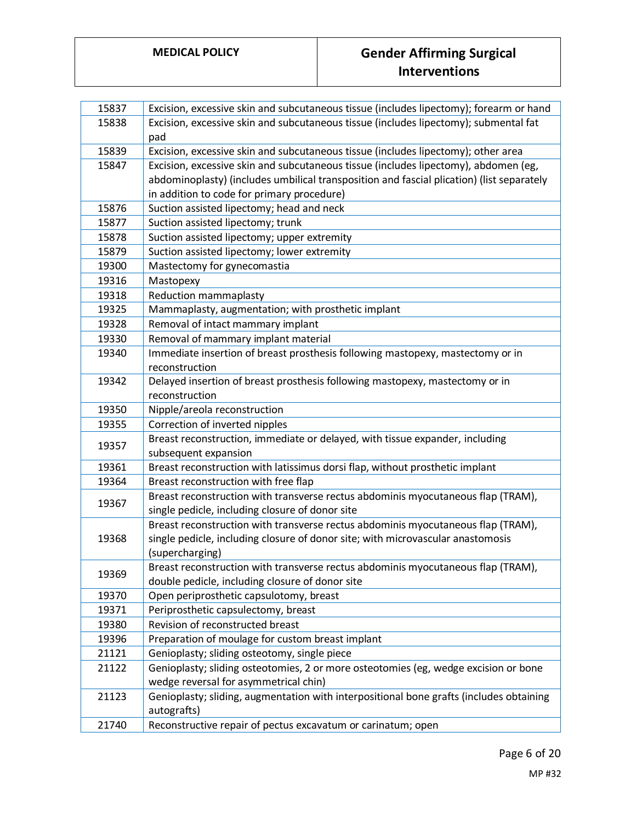# **MEDICAL POLICY Gender Affirming Surgical Interventions**

| 15837 | Excision, excessive skin and subcutaneous tissue (includes lipectomy); forearm or hand    |
|-------|-------------------------------------------------------------------------------------------|
| 15838 | Excision, excessive skin and subcutaneous tissue (includes lipectomy); submental fat      |
|       | pad                                                                                       |
| 15839 | Excision, excessive skin and subcutaneous tissue (includes lipectomy); other area         |
| 15847 | Excision, excessive skin and subcutaneous tissue (includes lipectomy), abdomen (eg,       |
|       | abdominoplasty) (includes umbilical transposition and fascial plication) (list separately |
|       | in addition to code for primary procedure)                                                |
| 15876 | Suction assisted lipectomy; head and neck                                                 |
| 15877 | Suction assisted lipectomy; trunk                                                         |
| 15878 | Suction assisted lipectomy; upper extremity                                               |
| 15879 | Suction assisted lipectomy; lower extremity                                               |
| 19300 | Mastectomy for gynecomastia                                                               |
| 19316 | Mastopexy                                                                                 |
| 19318 | Reduction mammaplasty                                                                     |
| 19325 | Mammaplasty, augmentation; with prosthetic implant                                        |
| 19328 | Removal of intact mammary implant                                                         |
| 19330 | Removal of mammary implant material                                                       |
| 19340 | Immediate insertion of breast prosthesis following mastopexy, mastectomy or in            |
|       | reconstruction                                                                            |
| 19342 | Delayed insertion of breast prosthesis following mastopexy, mastectomy or in              |
|       | reconstruction                                                                            |
| 19350 | Nipple/areola reconstruction                                                              |
| 19355 | Correction of inverted nipples                                                            |
| 19357 | Breast reconstruction, immediate or delayed, with tissue expander, including              |
|       | subsequent expansion                                                                      |
| 19361 | Breast reconstruction with latissimus dorsi flap, without prosthetic implant              |
| 19364 | Breast reconstruction with free flap                                                      |
| 19367 | Breast reconstruction with transverse rectus abdominis myocutaneous flap (TRAM),          |
|       | single pedicle, including closure of donor site                                           |
|       | Breast reconstruction with transverse rectus abdominis myocutaneous flap (TRAM),          |
| 19368 | single pedicle, including closure of donor site; with microvascular anastomosis           |
|       | (supercharging)                                                                           |
| 19369 | Breast reconstruction with transverse rectus abdominis myocutaneous flap (TRAM),          |
|       | double pedicle, including closure of donor site                                           |
| 19370 | Open periprosthetic capsulotomy, breast                                                   |
| 19371 | Periprosthetic capsulectomy, breast                                                       |
| 19380 | Revision of reconstructed breast                                                          |
| 19396 | Preparation of moulage for custom breast implant                                          |
| 21121 | Genioplasty; sliding osteotomy, single piece                                              |
| 21122 | Genioplasty; sliding osteotomies, 2 or more osteotomies (eg, wedge excision or bone       |
|       | wedge reversal for asymmetrical chin)                                                     |
| 21123 | Genioplasty; sliding, augmentation with interpositional bone grafts (includes obtaining   |
|       | autografts)                                                                               |
| 21740 | Reconstructive repair of pectus excavatum or carinatum; open                              |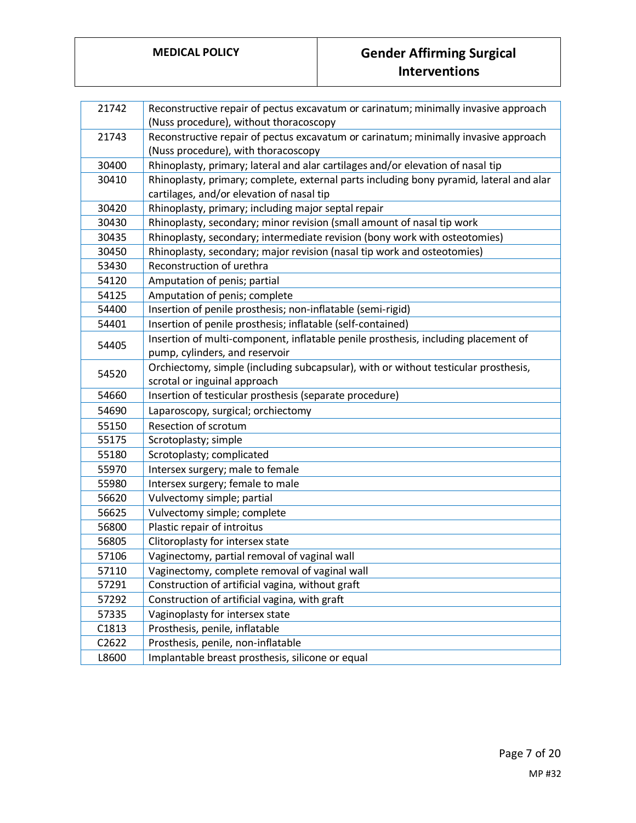# **MEDICAL POLICY Gender Affirming Surgical Interventions**

| 21742 | Reconstructive repair of pectus excavatum or carinatum; minimally invasive approach<br>(Nuss procedure), without thoracoscopy |
|-------|-------------------------------------------------------------------------------------------------------------------------------|
| 21743 | Reconstructive repair of pectus excavatum or carinatum; minimally invasive approach                                           |
|       | (Nuss procedure), with thoracoscopy                                                                                           |
| 30400 | Rhinoplasty, primary; lateral and alar cartilages and/or elevation of nasal tip                                               |
| 30410 | Rhinoplasty, primary; complete, external parts including bony pyramid, lateral and alar                                       |
|       | cartilages, and/or elevation of nasal tip                                                                                     |
| 30420 | Rhinoplasty, primary; including major septal repair                                                                           |
| 30430 | Rhinoplasty, secondary; minor revision (small amount of nasal tip work                                                        |
| 30435 | Rhinoplasty, secondary; intermediate revision (bony work with osteotomies)                                                    |
| 30450 | Rhinoplasty, secondary; major revision (nasal tip work and osteotomies)                                                       |
| 53430 | Reconstruction of urethra                                                                                                     |
| 54120 | Amputation of penis; partial                                                                                                  |
| 54125 | Amputation of penis; complete                                                                                                 |
| 54400 | Insertion of penile prosthesis; non-inflatable (semi-rigid)                                                                   |
| 54401 | Insertion of penile prosthesis; inflatable (self-contained)                                                                   |
| 54405 | Insertion of multi-component, inflatable penile prosthesis, including placement of                                            |
|       | pump, cylinders, and reservoir                                                                                                |
| 54520 | Orchiectomy, simple (including subcapsular), with or without testicular prosthesis,                                           |
|       | scrotal or inguinal approach                                                                                                  |
| 54660 | Insertion of testicular prosthesis (separate procedure)                                                                       |
| 54690 | Laparoscopy, surgical; orchiectomy                                                                                            |
| 55150 | Resection of scrotum                                                                                                          |
| 55175 | Scrotoplasty; simple                                                                                                          |
| 55180 | Scrotoplasty; complicated                                                                                                     |
| 55970 | Intersex surgery; male to female                                                                                              |
| 55980 | Intersex surgery; female to male                                                                                              |
| 56620 | Vulvectomy simple; partial                                                                                                    |
| 56625 | Vulvectomy simple; complete                                                                                                   |
| 56800 | Plastic repair of introitus                                                                                                   |
| 56805 | Clitoroplasty for intersex state                                                                                              |
| 57106 | Vaginectomy, partial removal of vaginal wall                                                                                  |
| 57110 | Vaginectomy, complete removal of vaginal wall                                                                                 |
| 57291 | Construction of artificial vagina, without graft                                                                              |
| 57292 | Construction of artificial vagina, with graft                                                                                 |
| 57335 | Vaginoplasty for intersex state                                                                                               |
| C1813 | Prosthesis, penile, inflatable                                                                                                |
| C2622 | Prosthesis, penile, non-inflatable                                                                                            |
| L8600 | Implantable breast prosthesis, silicone or equal                                                                              |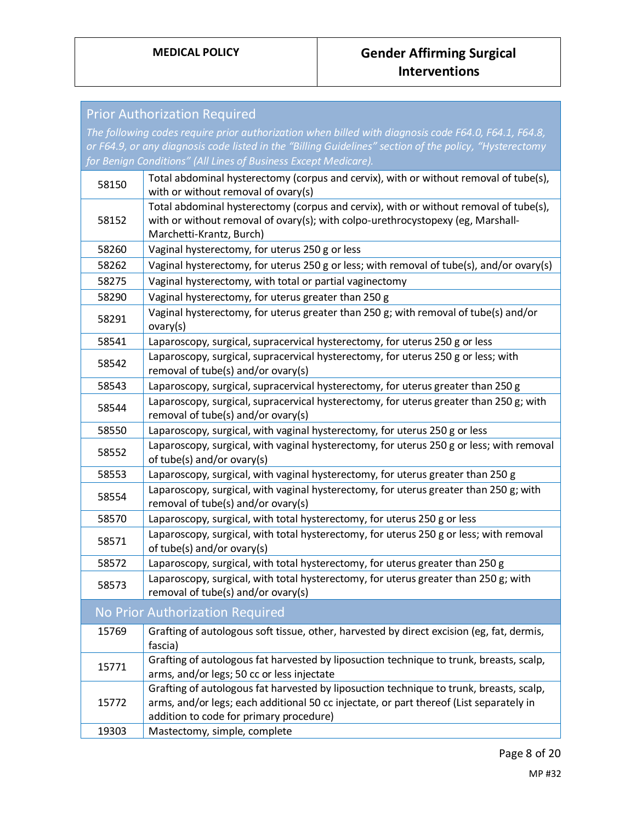|       | <b>Prior Authorization Required</b>                                                                                                                                                                                           |  |
|-------|-------------------------------------------------------------------------------------------------------------------------------------------------------------------------------------------------------------------------------|--|
|       | The following codes require prior authorization when billed with diagnosis code F64.0, F64.1, F64.8,                                                                                                                          |  |
|       | or F64.9, or any diagnosis code listed in the "Billing Guidelines" section of the policy, "Hysterectomy                                                                                                                       |  |
|       | for Benign Conditions" (All Lines of Business Except Medicare).                                                                                                                                                               |  |
| 58150 | Total abdominal hysterectomy (corpus and cervix), with or without removal of tube(s),<br>with or without removal of ovary(s)                                                                                                  |  |
| 58152 | Total abdominal hysterectomy (corpus and cervix), with or without removal of tube(s),<br>with or without removal of ovary(s); with colpo-urethrocystopexy (eg, Marshall-<br>Marchetti-Krantz, Burch)                          |  |
| 58260 | Vaginal hysterectomy, for uterus 250 g or less                                                                                                                                                                                |  |
| 58262 | Vaginal hysterectomy, for uterus 250 g or less; with removal of tube(s), and/or ovary(s)                                                                                                                                      |  |
| 58275 | Vaginal hysterectomy, with total or partial vaginectomy                                                                                                                                                                       |  |
| 58290 | Vaginal hysterectomy, for uterus greater than 250 g                                                                                                                                                                           |  |
| 58291 | Vaginal hysterectomy, for uterus greater than 250 g; with removal of tube(s) and/or<br>ovary(s)                                                                                                                               |  |
| 58541 | Laparoscopy, surgical, supracervical hysterectomy, for uterus 250 g or less                                                                                                                                                   |  |
| 58542 | Laparoscopy, surgical, supracervical hysterectomy, for uterus 250 g or less; with<br>removal of tube(s) and/or ovary(s)                                                                                                       |  |
| 58543 | Laparoscopy, surgical, supracervical hysterectomy, for uterus greater than 250 g                                                                                                                                              |  |
| 58544 | Laparoscopy, surgical, supracervical hysterectomy, for uterus greater than 250 g; with<br>removal of tube(s) and/or ovary(s)                                                                                                  |  |
| 58550 | Laparoscopy, surgical, with vaginal hysterectomy, for uterus 250 g or less                                                                                                                                                    |  |
| 58552 | Laparoscopy, surgical, with vaginal hysterectomy, for uterus 250 g or less; with removal<br>of tube(s) and/or ovary(s)                                                                                                        |  |
| 58553 | Laparoscopy, surgical, with vaginal hysterectomy, for uterus greater than 250 g                                                                                                                                               |  |
| 58554 | Laparoscopy, surgical, with vaginal hysterectomy, for uterus greater than 250 g; with<br>removal of tube(s) and/or ovary(s)                                                                                                   |  |
| 58570 | Laparoscopy, surgical, with total hysterectomy, for uterus 250 g or less                                                                                                                                                      |  |
| 58571 | Laparoscopy, surgical, with total hysterectomy, for uterus 250 g or less; with removal<br>of tube(s) and/or ovary(s)                                                                                                          |  |
| 58572 | Laparoscopy, surgical, with total hysterectomy, for uterus greater than 250 g                                                                                                                                                 |  |
| 58573 | Laparoscopy, surgical, with total hysterectomy, for uterus greater than 250 g; with<br>removal of tube(s) and/or ovary(s)                                                                                                     |  |
|       | No Prior Authorization Required                                                                                                                                                                                               |  |
| 15769 | Grafting of autologous soft tissue, other, harvested by direct excision (eg, fat, dermis,<br>fascia)                                                                                                                          |  |
| 15771 | Grafting of autologous fat harvested by liposuction technique to trunk, breasts, scalp,<br>arms, and/or legs; 50 cc or less injectate                                                                                         |  |
| 15772 | Grafting of autologous fat harvested by liposuction technique to trunk, breasts, scalp,<br>arms, and/or legs; each additional 50 cc injectate, or part thereof (List separately in<br>addition to code for primary procedure) |  |
| 19303 | Mastectomy, simple, complete                                                                                                                                                                                                  |  |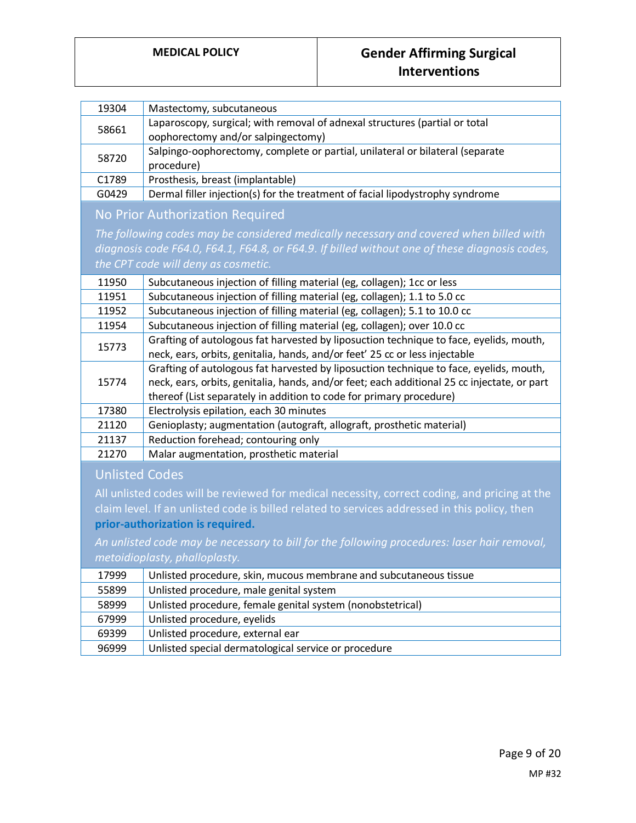# **MEDICAL POLICY Gender Affirming Surgical Interventions**

| 19304                                                                                         | Mastectomy, subcutaneous                                                                                                                                                                                                                                     |
|-----------------------------------------------------------------------------------------------|--------------------------------------------------------------------------------------------------------------------------------------------------------------------------------------------------------------------------------------------------------------|
| 58661                                                                                         | Laparoscopy, surgical; with removal of adnexal structures (partial or total<br>oophorectomy and/or salpingectomy)                                                                                                                                            |
| 58720                                                                                         | Salpingo-oophorectomy, complete or partial, unilateral or bilateral (separate<br>procedure)                                                                                                                                                                  |
| C1789                                                                                         | Prosthesis, breast (implantable)                                                                                                                                                                                                                             |
| G0429                                                                                         | Dermal filler injection(s) for the treatment of facial lipodystrophy syndrome                                                                                                                                                                                |
|                                                                                               | No Prior Authorization Required                                                                                                                                                                                                                              |
|                                                                                               | The following codes may be considered medically necessary and covered when billed with                                                                                                                                                                       |
|                                                                                               | diagnosis code F64.0, F64.1, F64.8, or F64.9. If billed without one of these diagnosis codes,                                                                                                                                                                |
|                                                                                               | the CPT code will deny as cosmetic.                                                                                                                                                                                                                          |
| 11950                                                                                         | Subcutaneous injection of filling material (eg, collagen); 1cc or less                                                                                                                                                                                       |
| 11951                                                                                         | Subcutaneous injection of filling material (eg, collagen); 1.1 to 5.0 cc                                                                                                                                                                                     |
| 11952                                                                                         | Subcutaneous injection of filling material (eg, collagen); 5.1 to 10.0 cc                                                                                                                                                                                    |
| 11954                                                                                         | Subcutaneous injection of filling material (eg, collagen); over 10.0 cc                                                                                                                                                                                      |
| 15773                                                                                         | Grafting of autologous fat harvested by liposuction technique to face, eyelids, mouth,<br>neck, ears, orbits, genitalia, hands, and/or feet' 25 cc or less injectable                                                                                        |
| 15774                                                                                         | Grafting of autologous fat harvested by liposuction technique to face, eyelids, mouth,<br>neck, ears, orbits, genitalia, hands, and/or feet; each additional 25 cc injectate, or part<br>thereof (List separately in addition to code for primary procedure) |
| 17380                                                                                         | Electrolysis epilation, each 30 minutes                                                                                                                                                                                                                      |
| 21120                                                                                         | Genioplasty; augmentation (autograft, allograft, prosthetic material)                                                                                                                                                                                        |
| 21137                                                                                         | Reduction forehead; contouring only                                                                                                                                                                                                                          |
| 21270                                                                                         | Malar augmentation, prosthetic material                                                                                                                                                                                                                      |
| <b>Unlisted Codes</b>                                                                         |                                                                                                                                                                                                                                                              |
| All unlisted codes will be reviewed for medical necessity, correct coding, and pricing at the |                                                                                                                                                                                                                                                              |
|                                                                                               | claim level. If an unlisted code is billed related to services addressed in this policy, then                                                                                                                                                                |
|                                                                                               | prior-authorization is required.                                                                                                                                                                                                                             |
|                                                                                               | An unlisted code may be necessary to bill for the following procedures: laser hair removal,                                                                                                                                                                  |
| metoidioplasty, phalloplasty.                                                                 |                                                                                                                                                                                                                                                              |
| 17999                                                                                         | Unlisted procedure, skin, mucous membrane and subcutaneous tissue                                                                                                                                                                                            |
| 55899                                                                                         | Unlisted procedure, male genital system                                                                                                                                                                                                                      |
| 58999                                                                                         | Unlisted procedure, female genital system (nonobstetrical)                                                                                                                                                                                                   |
| 67999                                                                                         | Unlisted procedure, eyelids                                                                                                                                                                                                                                  |
| 69399                                                                                         | Unlisted procedure, external ear                                                                                                                                                                                                                             |

96999 | Unlisted special dermatological service or procedure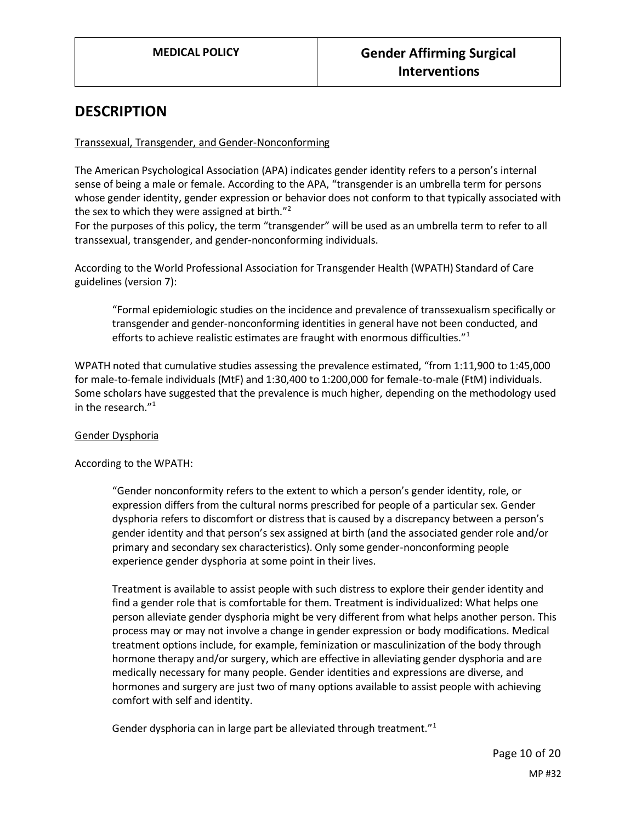### **DESCRIPTION**

#### Transsexual, Transgender, and Gender-Nonconforming

The American Psychological Association (APA) indicates gender identity refers to a person's internal sense of being a male or female. According to the APA, "transgender is an umbrella term for persons whose gender identity, gender expression or behavior does not conform to that typically associated with the sex to which they were assigned at birth. $"^2$ 

For the purposes of this policy, the term "transgender" will be used as an umbrella term to refer to all transsexual, transgender, and gender-nonconforming individuals.

According to the World Professional Association for Transgender Health (WPATH) Standard of Care guidelines (version 7):

"Formal epidemiologic studies on the incidence and prevalence of transsexualism specifically or transgender and gender-nonconforming identities in general have not been conducted, and efforts to achieve realistic estimates are fraught with enormous difficulties."<sup>1</sup>

WPATH noted that cumulative studies assessing the prevalence estimated, "from 1:11,900 to 1:45,000 for male-to-female individuals (MtF) and 1:30,400 to 1:200,000 for female-to-male (FtM) individuals. Some scholars have suggested that the prevalence is much higher, depending on the methodology used in the research."<sup>1</sup>

#### Gender Dysphoria

According to the WPATH:

"Gender nonconformity refers to the extent to which a person's gender identity, role, or expression differs from the cultural norms prescribed for people of a particular sex. Gender dysphoria refers to discomfort or distress that is caused by a discrepancy between a person's gender identity and that person's sex assigned at birth (and the associated gender role and/or primary and secondary sex characteristics). Only some gender-nonconforming people experience gender dysphoria at some point in their lives.

Treatment is available to assist people with such distress to explore their gender identity and find a gender role that is comfortable for them. Treatment is individualized: What helps one person alleviate gender dysphoria might be very different from what helps another person. This process may or may not involve a change in gender expression or body modifications. Medical treatment options include, for example, feminization or masculinization of the body through hormone therapy and/or surgery, which are effective in alleviating gender dysphoria and are medically necessary for many people. Gender identities and expressions are diverse, and hormones and surgery are just two of many options available to assist people with achieving comfort with self and identity.

Gender dysphoria can in large part be alleviated through treatment."<sup>1</sup>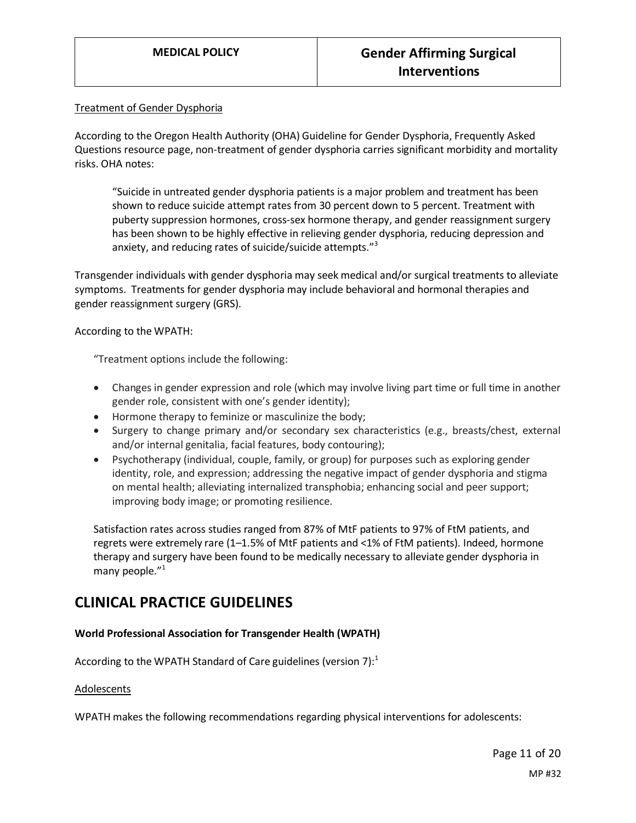#### Treatment of Gender Dysphoria

According to the Oregon Health Authority (OHA) Guideline for Gender Dysphoria, Frequently Asked Questions resource page, non-treatment of gender dysphoria carries significant morbidity and mortality risks. OHA notes:

"Suicide in untreated gender dysphoria patients is a major problem and treatment has been shown to reduce suicide attempt rates from 30 percent down to 5 percent. Treatment with puberty suppression hormones, cross-sex hormone therapy, and gender reassignment surgery has been shown to be highly effective in relieving gender dysphoria, reducing depression and anxiety, and reducing rates of suicide/suicide attempts."<sup>3</sup>

Transgender individuals with gender dysphoria may seek medical and/or surgical treatments to alleviate symptoms. Treatments for gender dysphoria may include behavioral and hormonal therapies and gender reassignment surgery (GRS).

#### According to the WPATH:

"Treatment options include the following:

- Changes in gender expression and role (which may involve living part time or full time in another gender role, consistent with one's gender identity);
- Hormone therapy to feminize or masculinize the body;
- Surgery to change primary and/or secondary sex characteristics (e.g., breasts/chest, external and/or internal genitalia, facial features, body contouring);
- Psychotherapy (individual, couple, family, or group) for purposes such as exploring gender identity, role, and expression; addressing the negative impact of gender dysphoria and stigma on mental health; alleviating internalized transphobia; enhancing social and peer support; improving body image; or promoting resilience.

Satisfaction rates across studies ranged from 87% of MtF patients to 97% of FtM patients, and regrets were extremely rare (1–1.5% of MtF patients and <1% of FtM patients). Indeed, hormone therapy and surgery have been found to be medically necessary to alleviate gender dysphoria in many people."<sup>1</sup>

### **CLINICAL PRACTICE GUIDELINES**

#### **World Professional Association for Transgender Health (WPATH)**

According to the WPATH Standard of Care guidelines (version 7): $1$ 

#### Adolescents

WPATH makes the following recommendations regarding physical interventions for adolescents: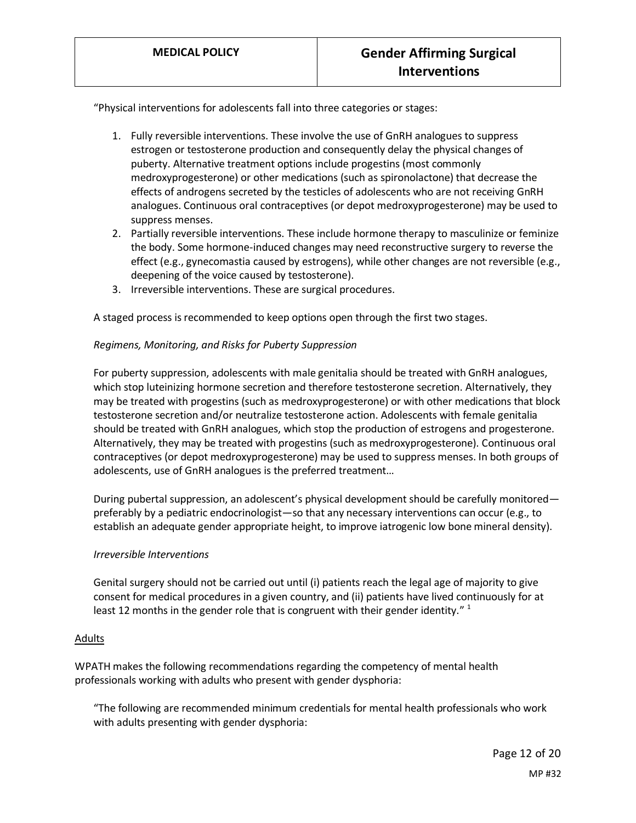"Physical interventions for adolescents fall into three categories or stages:

- 1. Fully reversible interventions. These involve the use of GnRH analogues to suppress estrogen or testosterone production and consequently delay the physical changes of puberty. Alternative treatment options include progestins (most commonly medroxyprogesterone) or other medications (such as spironolactone) that decrease the effects of androgens secreted by the testicles of adolescents who are not receiving GnRH analogues. Continuous oral contraceptives (or depot medroxyprogesterone) may be used to suppress menses.
- 2. Partially reversible interventions. These include hormone therapy to masculinize or feminize the body. Some hormone-induced changes may need reconstructive surgery to reverse the effect (e.g., gynecomastia caused by estrogens), while other changes are not reversible (e.g., deepening of the voice caused by testosterone).
- 3. Irreversible interventions. These are surgical procedures.

A staged process is recommended to keep options open through the first two stages.

#### *Regimens, Monitoring, and Risks for Puberty Suppression*

For puberty suppression, adolescents with male genitalia should be treated with GnRH analogues, which stop luteinizing hormone secretion and therefore testosterone secretion. Alternatively, they may be treated with progestins (such as medroxyprogesterone) or with other medications that block testosterone secretion and/or neutralize testosterone action. Adolescents with female genitalia should be treated with GnRH analogues, which stop the production of estrogens and progesterone. Alternatively, they may be treated with progestins (such as medroxyprogesterone). Continuous oral contraceptives (or depot medroxyprogesterone) may be used to suppress menses. In both groups of adolescents, use of GnRH analogues is the preferred treatment…

During pubertal suppression, an adolescent's physical development should be carefully monitored preferably by a pediatric endocrinologist—so that any necessary interventions can occur (e.g., to establish an adequate gender appropriate height, to improve iatrogenic low bone mineral density).

#### *Irreversible Interventions*

Genital surgery should not be carried out until (i) patients reach the legal age of majority to give consent for medical procedures in a given country, and (ii) patients have lived continuously for at least 12 months in the gender role that is congruent with their gender identity."  $^1$ 

#### Adults

WPATH makes the following recommendations regarding the competency of mental health professionals working with adults who present with gender dysphoria:

"The following are recommended minimum credentials for mental health professionals who work with adults presenting with gender dysphoria: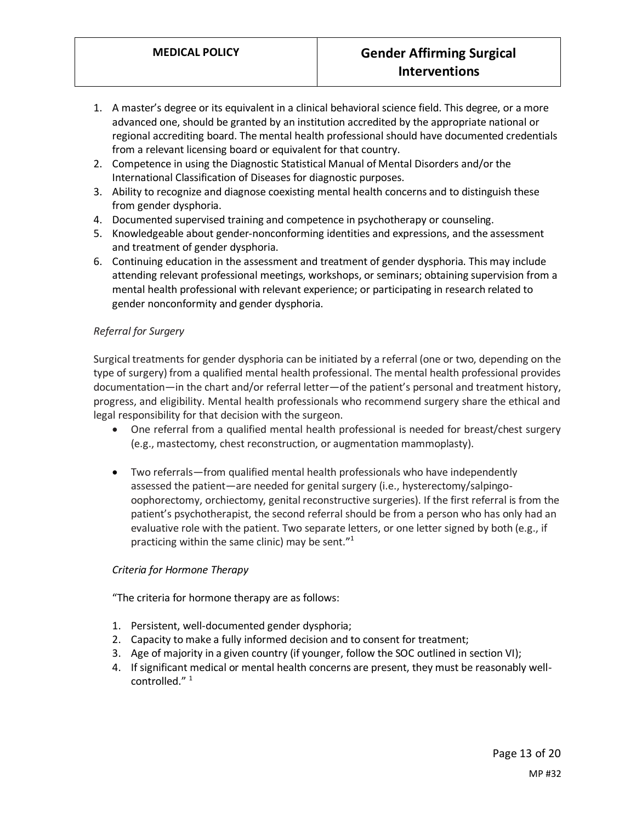- 1. A master's degree or its equivalent in a clinical behavioral science field. This degree, or a more advanced one, should be granted by an institution accredited by the appropriate national or regional accrediting board. The mental health professional should have documented credentials from a relevant licensing board or equivalent for that country.
- 2. Competence in using the Diagnostic Statistical Manual of Mental Disorders and/or the International Classification of Diseases for diagnostic purposes.
- 3. Ability to recognize and diagnose coexisting mental health concerns and to distinguish these from gender dysphoria.
- 4. Documented supervised training and competence in psychotherapy or counseling.
- 5. Knowledgeable about gender-nonconforming identities and expressions, and the assessment and treatment of gender dysphoria.
- 6. Continuing education in the assessment and treatment of gender dysphoria. This may include attending relevant professional meetings, workshops, or seminars; obtaining supervision from a mental health professional with relevant experience; or participating in research related to gender nonconformity and gender dysphoria.

#### *Referral for Surgery*

Surgical treatments for gender dysphoria can be initiated by a referral (one or two, depending on the type of surgery) from a qualified mental health professional. The mental health professional provides documentation—in the chart and/or referral letter—of the patient's personal and treatment history, progress, and eligibility. Mental health professionals who recommend surgery share the ethical and legal responsibility for that decision with the surgeon.

- One referral from a qualified mental health professional is needed for breast/chest surgery (e.g., mastectomy, chest reconstruction, or augmentation mammoplasty).
- Two referrals—from qualified mental health professionals who have independently assessed the patient—are needed for genital surgery (i.e., hysterectomy/salpingooophorectomy, orchiectomy, genital reconstructive surgeries). If the first referral is from the patient's psychotherapist, the second referral should be from a person who has only had an evaluative role with the patient. Two separate letters, or one letter signed by both (e.g., if practicing within the same clinic) may be sent."<sup>1</sup>

#### *Criteria for Hormone Therapy*

"The criteria for hormone therapy are as follows:

- 1. Persistent, well-documented gender dysphoria;
- 2. Capacity to make a fully informed decision and to consent for treatment;
- 3. Age of majority in a given country (if younger, follow the SOC outlined in section VI);
- 4. If significant medical or mental health concerns are present, they must be reasonably wellcontrolled."<sup>1</sup>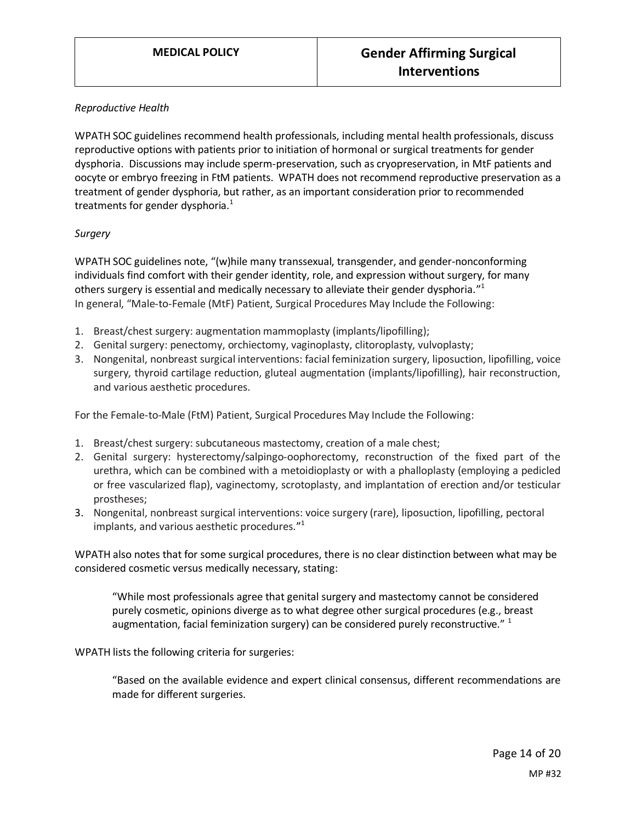#### *Reproductive Health*

WPATH SOC guidelines recommend health professionals, including mental health professionals, discuss reproductive options with patients prior to initiation of hormonal or surgical treatments for gender dysphoria. Discussions may include sperm-preservation, such as cryopreservation, in MtF patients and oocyte or embryo freezing in FtM patients. WPATH does not recommend reproductive preservation as a treatment of gender dysphoria, but rather, as an important consideration prior to recommended treatments for gender dysphoria.<sup>1</sup>

#### *Surgery*

WPATH SOC guidelines note, "(w)hile many transsexual, transgender, and gender-nonconforming individuals find comfort with their gender identity, role, and expression without surgery, for many others surgery is essential and medically necessary to alleviate their gender dysphoria."<sup>1</sup> In general, "Male-to-Female (MtF) Patient, Surgical Procedures May Include the Following:

- 1. Breast/chest surgery: augmentation mammoplasty (implants/lipofilling);
- 2. Genital surgery: penectomy, orchiectomy, vaginoplasty, clitoroplasty, vulvoplasty;
- 3. Nongenital, nonbreast surgical interventions: facial feminization surgery, liposuction, lipofilling, voice surgery, thyroid cartilage reduction, gluteal augmentation (implants/lipofilling), hair reconstruction, and various aesthetic procedures.

For the Female-to-Male (FtM) Patient, Surgical Procedures May Include the Following:

- 1. Breast/chest surgery: subcutaneous mastectomy, creation of a male chest;
- 2. Genital surgery: hysterectomy/salpingo-oophorectomy, reconstruction of the fixed part of the urethra, which can be combined with a metoidioplasty or with a phalloplasty (employing a pedicled or free vascularized flap), vaginectomy, scrotoplasty, and implantation of erection and/or testicular prostheses;
- 3. Nongenital, nonbreast surgical interventions: voice surgery (rare), liposuction, lipofilling, pectoral implants, and various aesthetic procedures." 1

WPATH also notes that for some surgical procedures, there is no clear distinction between what may be considered cosmetic versus medically necessary, stating:

"While most professionals agree that genital surgery and mastectomy cannot be considered purely cosmetic, opinions diverge as to what degree other surgical procedures (e.g., breast augmentation, facial feminization surgery) can be considered purely reconstructive."  $^1$ 

WPATH lists the following criteria for surgeries:

"Based on the available evidence and expert clinical consensus, different recommendations are made for different surgeries.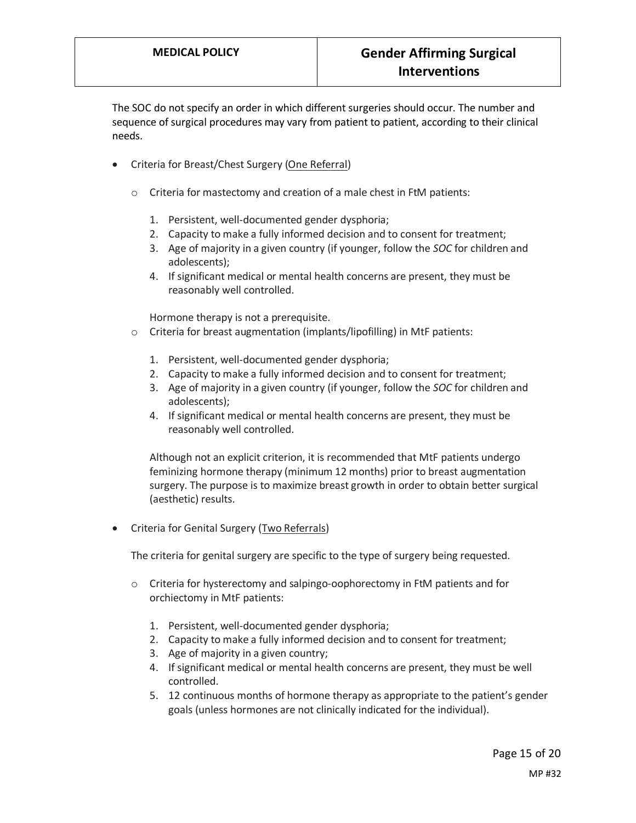The SOC do not specify an order in which different surgeries should occur. The number and sequence of surgical procedures may vary from patient to patient, according to their clinical needs.

- Criteria for Breast/Chest Surgery (One Referral)
	- $\circ$  Criteria for mastectomy and creation of a male chest in FtM patients:
		- 1. Persistent, well-documented gender dysphoria;
		- 2. Capacity to make a fully informed decision and to consent for treatment;
		- 3. Age of majority in a given country (if younger, follow the *SOC* for children and adolescents);
		- 4. If significant medical or mental health concerns are present, they must be reasonably well controlled.

Hormone therapy is not a prerequisite.

- o Criteria for breast augmentation (implants/lipofilling) in MtF patients:
	- 1. Persistent, well-documented gender dysphoria;
	- 2. Capacity to make a fully informed decision and to consent for treatment;
	- 3. Age of majority in a given country (if younger, follow the *SOC* for children and adolescents);
	- 4. If significant medical or mental health concerns are present, they must be reasonably well controlled.

Although not an explicit criterion, it is recommended that MtF patients undergo feminizing hormone therapy (minimum 12 months) prior to breast augmentation surgery. The purpose is to maximize breast growth in order to obtain better surgical (aesthetic) results.

• Criteria for Genital Surgery (Two Referrals)

The criteria for genital surgery are specific to the type of surgery being requested.

- o Criteria for hysterectomy and salpingo-oophorectomy in FtM patients and for orchiectomy in MtF patients:
	- 1. Persistent, well-documented gender dysphoria;
	- 2. Capacity to make a fully informed decision and to consent for treatment;
	- 3. Age of majority in a given country;
	- 4. If significant medical or mental health concerns are present, they must be well controlled.
	- 5. 12 continuous months of hormone therapy as appropriate to the patient's gender goals (unless hormones are not clinically indicated for the individual).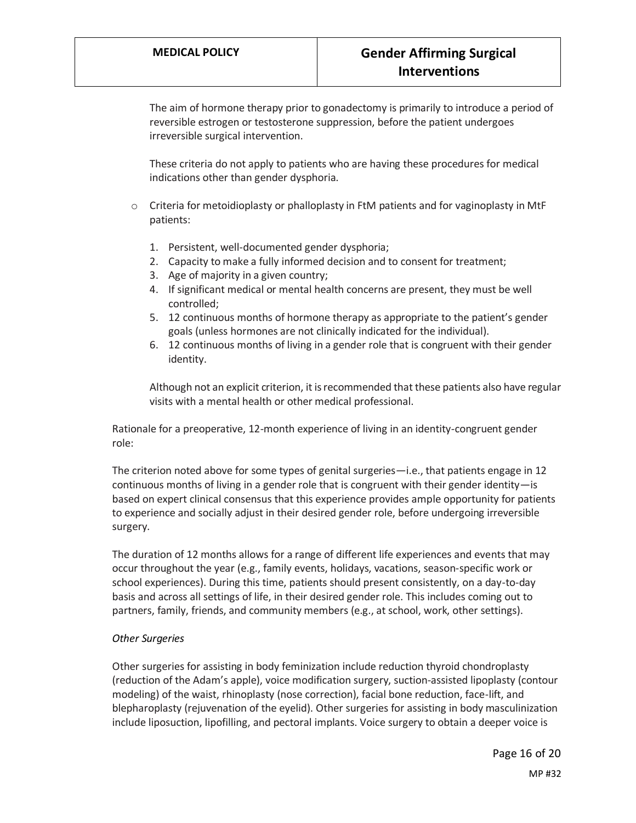The aim of hormone therapy prior to gonadectomy is primarily to introduce a period of reversible estrogen or testosterone suppression, before the patient undergoes irreversible surgical intervention.

These criteria do not apply to patients who are having these procedures for medical indications other than gender dysphoria.

- o Criteria for metoidioplasty or phalloplasty in FtM patients and for vaginoplasty in MtF patients:
	- 1. Persistent, well-documented gender dysphoria;
	- 2. Capacity to make a fully informed decision and to consent for treatment;
	- 3. Age of majority in a given country;
	- 4. If significant medical or mental health concerns are present, they must be well controlled;
	- 5. 12 continuous months of hormone therapy as appropriate to the patient's gender goals (unless hormones are not clinically indicated for the individual).
	- 6. 12 continuous months of living in a gender role that is congruent with their gender identity.

Although not an explicit criterion, it is recommended that these patients also have regular visits with a mental health or other medical professional.

Rationale for a preoperative, 12-month experience of living in an identity-congruent gender role:

The criterion noted above for some types of genital surgeries—i.e., that patients engage in 12 continuous months of living in a gender role that is congruent with their gender identity—is based on expert clinical consensus that this experience provides ample opportunity for patients to experience and socially adjust in their desired gender role, before undergoing irreversible surgery.

The duration of 12 months allows for a range of different life experiences and events that may occur throughout the year (e.g., family events, holidays, vacations, season-specific work or school experiences). During this time, patients should present consistently, on a day-to-day basis and across all settings of life, in their desired gender role. This includes coming out to partners, family, friends, and community members (e.g., at school, work, other settings).

#### *Other Surgeries*

Other surgeries for assisting in body feminization include reduction thyroid chondroplasty (reduction of the Adam's apple), voice modification surgery, suction-assisted lipoplasty (contour modeling) of the waist, rhinoplasty (nose correction), facial bone reduction, face-lift, and blepharoplasty (rejuvenation of the eyelid). Other surgeries for assisting in body masculinization include liposuction, lipofilling, and pectoral implants. Voice surgery to obtain a deeper voice is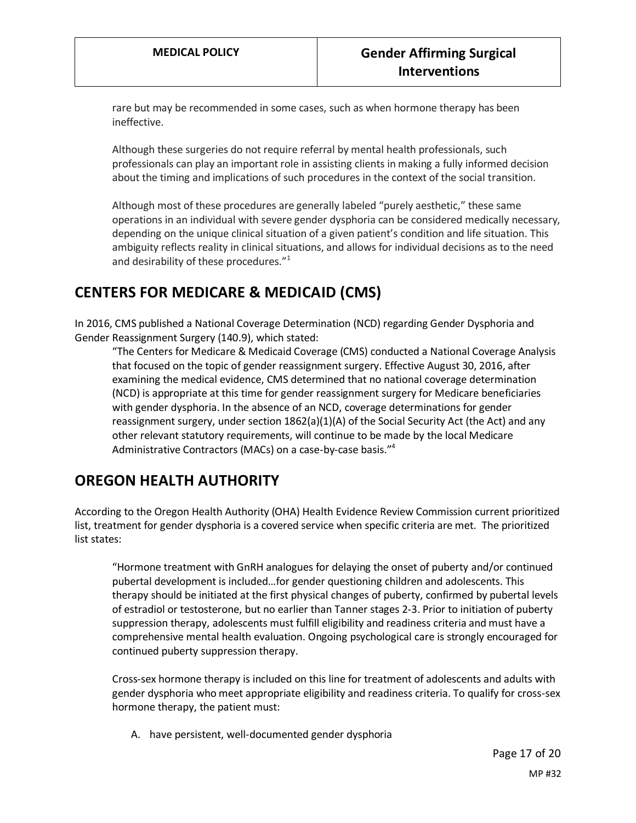rare but may be recommended in some cases, such as when hormone therapy has been ineffective.

Although these surgeries do not require referral by mental health professionals, such professionals can play an important role in assisting clients in making a fully informed decision about the timing and implications of such procedures in the context of the social transition.

Although most of these procedures are generally labeled "purely aesthetic," these same operations in an individual with severe gender dysphoria can be considered medically necessary, depending on the unique clinical situation of a given patient's condition and life situation. This ambiguity reflects reality in clinical situations, and allows for individual decisions as to the need and desirability of these procedures."<sup>1</sup>

# **CENTERS FOR MEDICARE & MEDICAID (CMS)**

In 2016, CMS published a National Coverage Determination (NCD) regarding Gender Dysphoria and Gender Reassignment Surgery (140.9), which stated:

"The Centers for Medicare & Medicaid Coverage (CMS) conducted a National Coverage Analysis that focused on the topic of gender reassignment surgery. Effective August 30, 2016, after examining the medical evidence, CMS determined that no national coverage determination (NCD) is appropriate at this time for gender reassignment surgery for Medicare beneficiaries with gender dysphoria. In the absence of an NCD, coverage determinations for gender reassignment surgery, under section 1862(a)(1)(A) of the Social Security Act (the Act) and any other relevant statutory requirements, will continue to be made by the local Medicare Administrative Contractors (MACs) on a case-by-case basis."<sup>4</sup>

# **OREGON HEALTH AUTHORITY**

According to the Oregon Health Authority (OHA) Health Evidence Review Commission current prioritized list, treatment for gender dysphoria is a covered service when specific criteria are met. The prioritized list states:

"Hormone treatment with GnRH analogues for delaying the onset of puberty and/or continued pubertal development is included…for gender questioning children and adolescents. This therapy should be initiated at the first physical changes of puberty, confirmed by pubertal levels of estradiol or testosterone, but no earlier than Tanner stages 2-3. Prior to initiation of puberty suppression therapy, adolescents must fulfill eligibility and readiness criteria and must have a comprehensive mental health evaluation. Ongoing psychological care is strongly encouraged for continued puberty suppression therapy.

Cross-sex hormone therapy is included on this line for treatment of adolescents and adults with gender dysphoria who meet appropriate eligibility and readiness criteria. To qualify for cross-sex hormone therapy, the patient must:

A. have persistent, well-documented gender dysphoria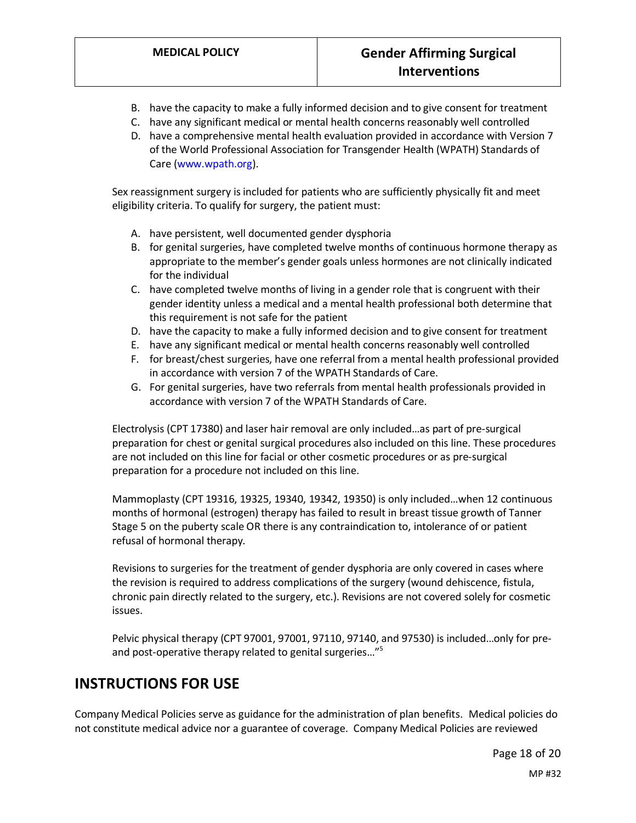- B. have the capacity to make a fully informed decision and to give consent for treatment
- C. have any significant medical or mental health concerns reasonably well controlled
- D. have a comprehensive mental health evaluation provided in accordance with Version 7 of the World Professional Association for Transgender Health (WPATH) Standards of Care (www.wpath.org).

Sex reassignment surgery is included for patients who are sufficiently physically fit and meet eligibility criteria. To qualify for surgery, the patient must:

- A. have persistent, well documented gender dysphoria
- B. for genital surgeries, have completed twelve months of continuous hormone therapy as appropriate to the member's gender goals unless hormones are not clinically indicated for the individual
- C. have completed twelve months of living in a gender role that is congruent with their gender identity unless a medical and a mental health professional both determine that this requirement is not safe for the patient
- D. have the capacity to make a fully informed decision and to give consent for treatment
- E. have any significant medical or mental health concerns reasonably well controlled
- F. for breast/chest surgeries, have one referral from a mental health professional provided in accordance with version 7 of the WPATH Standards of Care.
- G. For genital surgeries, have two referrals from mental health professionals provided in accordance with version 7 of the WPATH Standards of Care.

Electrolysis (CPT 17380) and laser hair removal are only included…as part of pre-surgical preparation for chest or genital surgical procedures also included on this line. These procedures are not included on this line for facial or other cosmetic procedures or as pre-surgical preparation for a procedure not included on this line.

Mammoplasty (CPT 19316, 19325, 19340, 19342, 19350) is only included…when 12 continuous months of hormonal (estrogen) therapy has failed to result in breast tissue growth of Tanner Stage 5 on the puberty scale OR there is any contraindication to, intolerance of or patient refusal of hormonal therapy.

Revisions to surgeries for the treatment of gender dysphoria are only covered in cases where the revision is required to address complications of the surgery (wound dehiscence, fistula, chronic pain directly related to the surgery, etc.). Revisions are not covered solely for cosmetic issues.

Pelvic physical therapy (CPT 97001, 97001, 97110, 97140, and 97530) is included…only for preand post-operative therapy related to genital surgeries…"<sup>5</sup>

### **INSTRUCTIONS FOR USE**

Company Medical Policies serve as guidance for the administration of plan benefits. Medical policies do not constitute medical advice nor a guarantee of coverage. Company Medical Policies are reviewed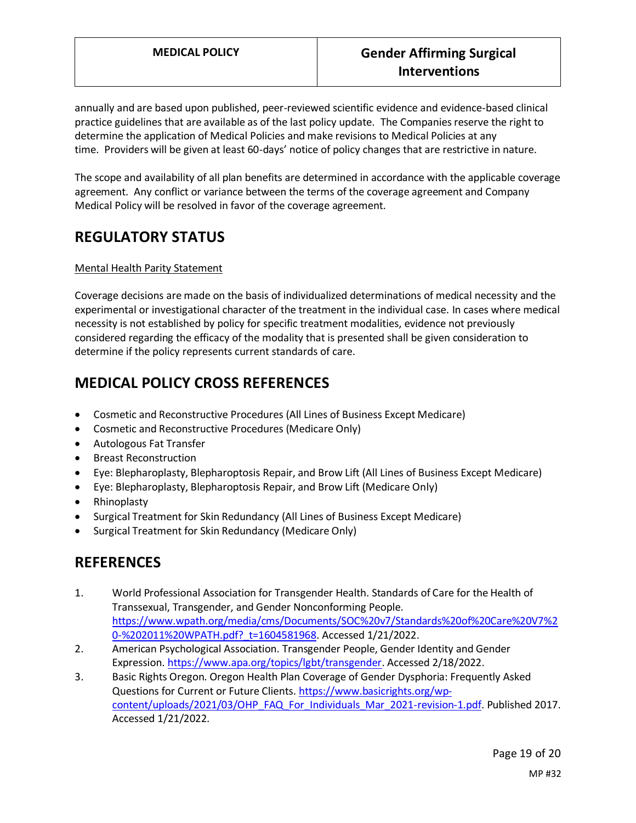annually and are based upon published, peer-reviewed scientific evidence and evidence-based clinical practice guidelines that are available as of the last policy update. The Companies reserve the right to determine the application of Medical Policies and make revisions to Medical Policies at any time. Providers will be given at least 60-days' notice of policy changes that are restrictive in nature.

The scope and availability of all plan benefits are determined in accordance with the applicable coverage agreement. Any conflict or variance between the terms of the coverage agreement and Company Medical Policy will be resolved in favor of the coverage agreement.

# **REGULATORY STATUS**

#### Mental Health Parity Statement

Coverage decisions are made on the basis of individualized determinations of medical necessity and the experimental or investigational character of the treatment in the individual case. In cases where medical necessity is not established by policy for specific treatment modalities, evidence not previously considered regarding the efficacy of the modality that is presented shall be given consideration to determine if the policy represents current standards of care.

## **MEDICAL POLICY CROSS REFERENCES**

- Cosmetic and Reconstructive Procedures (All Lines of Business Except Medicare)
- Cosmetic and Reconstructive Procedures (Medicare Only)
- Autologous Fat Transfer
- Breast Reconstruction
- Eye: Blepharoplasty, Blepharoptosis Repair, and Brow Lift (All Lines of Business Except Medicare)
- Eye: Blepharoplasty, Blepharoptosis Repair, and Brow Lift (Medicare Only)
- Rhinoplasty
- Surgical Treatment for Skin Redundancy (All Lines of Business Except Medicare)
- Surgical Treatment for Skin Redundancy (Medicare Only)

# **REFERENCES**

- 1. World Professional Association for Transgender Health. Standards of Care for the Health of Transsexual, Transgender, and Gender Nonconforming People. [https://www.wpath.org/media/cms/Documents/SOC%20v7/Standards%20of%20Care%20V7%2](https://www.wpath.org/media/cms/Documents/SOC%20v7/Standards%20of%20Care%20V7%20-%202011%20WPATH.pdf?_t=1604581968) [0-%202011%20WPATH.pdf?\\_t=1604581968.](https://www.wpath.org/media/cms/Documents/SOC%20v7/Standards%20of%20Care%20V7%20-%202011%20WPATH.pdf?_t=1604581968) Accessed 1/21/2022.
- 2. American Psychological Association. Transgender People, Gender Identity and Gender Expression. [https://www.apa.org/topics/lgbt/transgender.](https://www.apa.org/topics/lgbt/transgender) Accessed 2/18/2022.
- 3. Basic Rights Oregon. Oregon Health Plan Coverage of Gender Dysphoria: Frequently Asked Questions for Current or Future Clients[. https://www.basicrights.org/wp](https://www.basicrights.org/wp-content/uploads/2021/03/OHP_FAQ_For_Individuals_Mar_2021-revision-1.pdf)[content/uploads/2021/03/OHP\\_FAQ\\_For\\_Individuals\\_Mar\\_2021-revision-1.pdf.](https://www.basicrights.org/wp-content/uploads/2021/03/OHP_FAQ_For_Individuals_Mar_2021-revision-1.pdf) Published 2017. Accessed 1/21/2022.